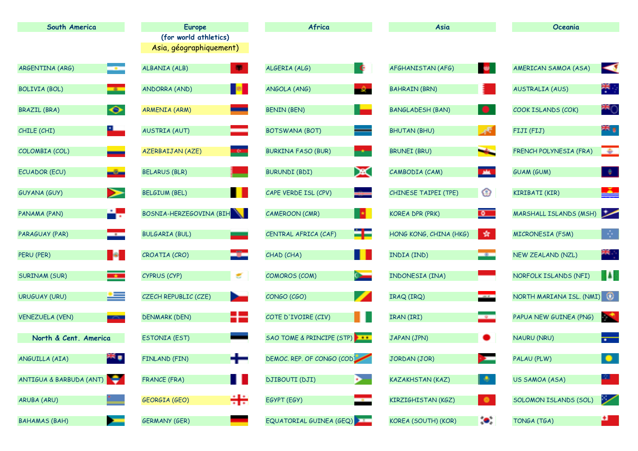| South America                              | <b>Europe</b>           | Africa                          | Asia                                             | Oceania                                                          |
|--------------------------------------------|-------------------------|---------------------------------|--------------------------------------------------|------------------------------------------------------------------|
|                                            | (for world athletics)   |                                 |                                                  |                                                                  |
|                                            | Asia, géographiquement) |                                 |                                                  |                                                                  |
| ARGENTINA (ARG)                            | 帶                       | - C                             | <b>Bar</b>                                       | $\blacktriangleleft$                                             |
| $\sim$                                     | ALBANIA (ALB)           | ALGERIA (ALG)                   | AFGHANISTAN (AFG)                                | AMERICAN SAMOA (ASA)                                             |
| <b>BOLIVIA (BOL)</b>                       | <b>P</b>                | ANGOLA (ANG)                    | <b>BAHRAIN (BRN)</b>                             | 需要                                                               |
| <b>Contract</b>                            | <b>ANDORRA (AND)</b>    | $-\mathcal{Q}_\mathrm{m}$       |                                                  | <b>AUSTRALIA (AUS)</b>                                           |
| $\bullet$                                  | <b>ARMENIA (ARM)</b>    | a an                            | $\qquad \qquad \bullet$                          | <b>MO</b>                                                        |
| <b>BRAZIL (BRA)</b>                        | <u>e a</u>              | <b>BENIN (BEN)</b>              | <b>BANGLADESH (BAN)</b>                          | COOK ISLANDS (COK)                                               |
| L,                                         | ⋿                       | $\equiv$                        | $\mathcal{A}^{\mathbf{F}^{\prime}}$              | æ,                                                               |
| CHILE (CHI)                                | <b>AUSTRIA (AUT)</b>    | <b>BOTSWANA (BOT)</b>           | <b>BHUTAN (BHU)</b>                              | FIJI (FIJ)                                                       |
| COLOMBIA (COL)                             | <b>TO</b>               | <b>BURKINA FASO (BUR)</b>       | <b>Marine</b>                                    | <b>TAN</b>                                                       |
|                                            | <b>AZERBAIJAN (AZE)</b> | and and                         | <b>BRUNEI (BRU)</b>                              | FRENCH POLYNESIA (FRA)                                           |
| ECUADOR (ECU)                              | <b>BELARUS (BLR)</b>    | X                               | <b>A</b>                                         | $\begin{array}{ c c c }\hline \hspace{.1in} \bullet \end{array}$ |
| كالد                                       |                         | <b>BURUNDI (BDI)</b>            | CAMBODIA (CAM)                                   | <b>GUAM (GUM)</b>                                                |
| ➢                                          | . .                     | CAPE VERDE ISL (CPV)            | ⊕                                                | ككو                                                              |
| <b>GUYANA (GUY)</b>                        | <b>BELGIUM (BEL)</b>    |                                 | CHINESE TAIPEI (TPE)                             | KIRIBATI (KIR)                                                   |
| r.                                         | BOSNIA-HERZEGOVINA (BIH | <b>B</b>                        | $\circ$                                          | سنا                                                              |
| PANAMA (PAN)                               |                         | CAMEROON (CMR)                  | <b>KOREA DPR (PRK)</b>                           | <b>MARSHALL ISLANDS (MSH)</b>                                    |
| PARAGUAY (PAR)                             | <b>BULGARIA (BUL)</b>   | ۵F                              | 黄.                                               | -9                                                               |
| <u>est</u>                                 |                         | CENTRAL AFRICA (CAF)            | HONG KONG, CHINA (HKG)                           | <b>MICRONESIA (FSM)</b>                                          |
| H.                                         | port                    | H                               | <b>Part</b>                                      | 器点                                                               |
| PERU (PER)                                 | CROATIA (CRO)           | CHAD (CHA)                      | INDIA (IND)                                      | NEW ZEALAND (NZL)                                                |
| <b>The Second</b>                          | E.                      | $0 -$                           | INDONESIA (INA)                                  | H.                                                               |
| <b>SURINAM (SUR)</b>                       | CYPRUS (CYP)            | <b>COMOROS (COM)</b>            |                                                  | NORFOLK ISLANDS (NFI)                                            |
| <u>est</u>                                 | CZECH REPUBLIC (CZE)    | F                               | $\overline{\phantom{a}}$                         | NORTH MARIANA ISL. (NMI)                                         |
| <b>URUGUAY (URU)</b>                       | <b>Designation</b>      | CONGO (CGO)                     | IRAQ (IRQ)                                       |                                                                  |
| <b>VENEZUELA (VEN)</b>                     | HZ                      | A N                             | <b>District</b>                                  | b÷.                                                              |
| <b>START</b>                               | <b>DENMARK (DEN)</b>    | COTE D'IVOIRE (CIV)             | IRAN (IRI)                                       | PAPUA NEW GUINEA (PNG)                                           |
| North & Cent. America                      | <b>ESTONIA (EST)</b>    | SAO TOME & PRINCIPE (STP) + + + | JAPAN (JPN)<br>$\bullet$                         | $\left  \cdot \right $<br><b>NAURU (NRU)</b>                     |
| 端<br>ANGUILLA (AIA)                        | FINLAND (FIN)           | DEMOC. REP. OF CONGO (COD       | JORDAN (JOR)                                     | PALAU (PLW)                                                      |
| ANTIGUA & BARBUDA (ANT)                    | . .                     | <b>DJIBOUTI (DJI)</b>           | D.                                               | 21                                                               |
|                                            | <b>FRANCE (FRA)</b>     | œ.                              | <b>KAZAKHSTAN (KAZ)</b>                          | US SAMOA (ASA)                                                   |
| ARUBA (ARU)                                | ÷÷<br>GEORGIA (GEO)     | EGYPT (EGY)                     | $\bullet$<br>KIRZIGHISTAN (KGZ)                  | レ<br>SOLOMON ISLANDS (SOL)                                       |
| <b>BAHAMAS (BAH)</b><br><b>Designation</b> | <b>GERMANY (GER)</b>    | EQUATORIAL GUINEA (GEQ)         | $\langle \bullet \rangle$<br>KOREA (SOUTH) (KOR) | 변<br>TONGA (TGA)                                                 |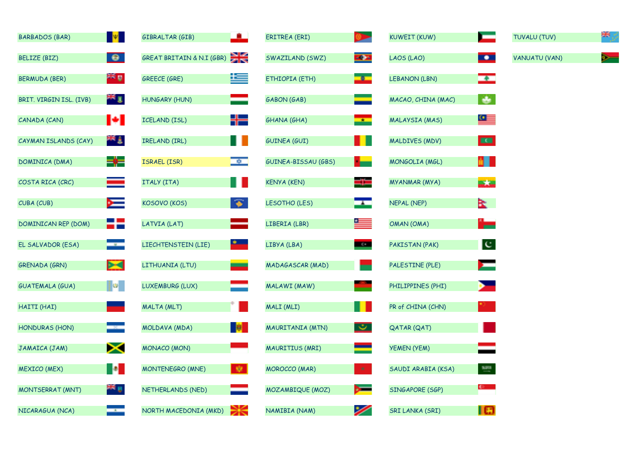| <b>BARBADOS (BAR)</b>      | <b>M</b>   | - 10<br><b>GIBRALTAR (GIB)</b>           | ERITREA (ERI)        |                          | <b>KUWEIT (KUW)</b>  | <b>The Company</b>  | TUVALU (TUV)         | ж  |
|----------------------------|------------|------------------------------------------|----------------------|--------------------------|----------------------|---------------------|----------------------|----|
| <b>BELIZE (BIZ)</b>        | $\bullet$  | <b>EN K</b><br>GREAT BRITAIN & N.I (GBR) | SWAZILAND (SWZ)      | $-0.75$                  | LAOS (LAO)           | $\blacksquare$      | <b>VANUATU (VAN)</b> | ⋟─ |
| <b>BERMUDA (BER)</b>       | ym A       | Ľ<br><b>GREECE (GRE)</b>                 | ETHIOPIA (ETH)       | $\Box b$                 | <b>LEBANON (LBN)</b> | <u>se</u>           |                      |    |
| BRIT. VIRGIN ISL. (IVB)    | 置加         | HUNGARY (HUN)                            | <b>GABON (GAB)</b>   |                          | MACAO, CHINA (MAC)   | D.                  |                      |    |
| CANADA (CAN)               | H          | H를<br>ICELAND (ISL)                      | <b>GHANA (GHA)</b>   | $\overline{\phantom{a}}$ | MALAYSIA (MAS)       | 뜨                   |                      |    |
| CAYMAN ISLANDS (CAY)       | 带手         | Ш<br>IRELAND (IRL)                       | <b>GUINEA (GUI)</b>  | ш                        | MALDIVES (MDV)       | $\blacksquare$      |                      |    |
| DOMINICA (DMA)             | ⊨∲≓        | <b>DO</b><br><b>ISRAEL (ISR)</b>         | GUINEA-BISSAU (GBS)  | H.                       | MONGOLIA (MGL)       | AH I                |                      |    |
| COSTA RICA (CRC)           | ▅          | Ш<br>ITALY (ITA)                         | <b>KENYA (KEN)</b>   | ٢F                       | MYANMAR (MYA)        | <b>Billian</b>      |                      |    |
| CUBA (CUB)                 | 医          | 零<br>KOSOVO (KOS)                        | LESOTHO (LES)        | <b>Exc</b>               | <b>NEPAL (NEP)</b>   | k.                  |                      |    |
| <b>DOMINICAN REP (DOM)</b> | 22         | ▀<br>LATVIA (LAT)                        | LIBERIA (LBR)        | 一                        | OMAN (OMA)           | <u>"=</u>           |                      |    |
| EL SALVADOR (ESA)          | mental.    | <u>rans</u><br>LIECHTENSTEIN (LIE)       | LIBYA (LBA)          | <b>Bar</b>               | PAKISTAN (PAK)       | C                   |                      |    |
| GRENADA (GRN)              | <b>b-d</b> | $\sim$<br>LITHUANIA (LTU)                | MADAGASCAR (MAD)     |                          | PALESTINE (PLE)      | 广                   |                      |    |
| <b>GUATEMALA (GUA)</b>     | 10세기       | LUXEMBURG (LUX)                          | MALAWI (MAW)         |                          | PHILIPPINES (PHI)    | $\mathbf{P}$        |                      |    |
| HAITI (HAI)                |            | MALTA (MLT)                              | MALI (MLI)           | H                        | PR of CHINA (CHN)    |                     |                      |    |
| <b>HONDURAS (HON)</b>      |            | $\parallel$<br>MOLDAVA (MDA)             | MAURITANIA (MTN)     | $\overline{\mathscr{L}}$ | QATAR (QAT)          |                     |                      |    |
| JAMAICA (JAM)              | ⋗⋖         | <b>MONACO (MON)</b>                      | MAURITIUS (MRI)      |                          | YEMEN (YEM)          |                     |                      |    |
| <b>MEXICO (MEX)</b>        | H.         | - 察士<br><b>MONTENEGRO (MNE)</b>          | <b>MOROCCO (MAR)</b> | $\langle \Psi \rangle$   | SAUDI ARABIA (KSA)   | $\frac{52018}{100}$ |                      |    |
| <b>MONTSERRAT (MNT)</b>    | ≥¥ y       | NETHERLANDS (NED)                        | MOZAMBIQUE (MOZ)     | $\sim$                   | SINGAPORE (SGP)      | <b>CO</b>           |                      |    |
| NICARAGUA (NCA)            |            | Ж<br>NORTH MACEDONIA (MKD)               | NAMIBIA (NAM)        | ╱                        | SRI LANKA (SRI)      | <b>Ta</b>           |                      |    |